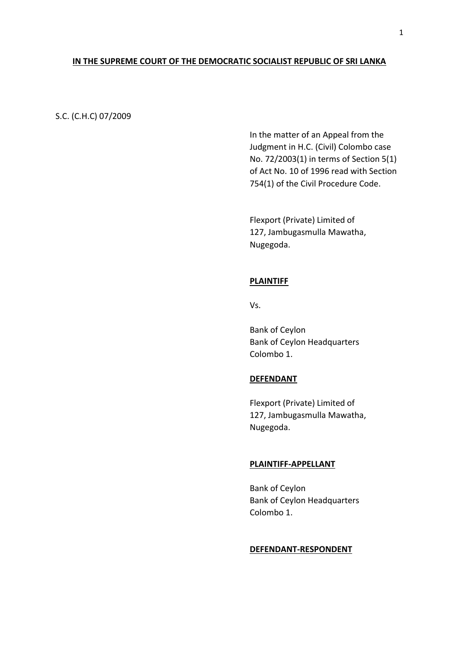# **IN THE SUPREME COURT OF THE DEMOCRATIC SOCIALIST REPUBLIC OF SRI LANKA**

# S.C. (C.H.C) 07/2009

In the matter of an Appeal from the Judgment in H.C. (Civil) Colombo case No. 72/2003(1) in terms of Section 5(1) of Act No. 10 of 1996 read with Section 754(1) of the Civil Procedure Code.

Flexport (Private) Limited of 127, Jambugasmulla Mawatha, Nugegoda.

#### **PLAINTIFF**

Vs.

Bank of Ceylon Bank of Ceylon Headquarters Colombo 1.

### **DEFENDANT**

Flexport (Private) Limited of 127, Jambugasmulla Mawatha, Nugegoda.

### **PLAINTIFF-APPELLANT**

Bank of Ceylon Bank of Ceylon Headquarters Colombo 1.

#### **DEFENDANT-RESPONDENT**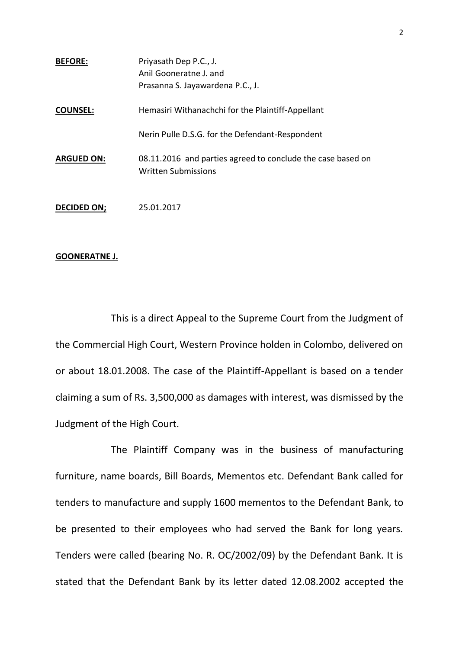| <b>BEFORE:</b>    | Priyasath Dep P.C., J.                                                                    |
|-------------------|-------------------------------------------------------------------------------------------|
|                   | Anil Gooneratne J. and                                                                    |
|                   | Prasanna S. Jayawardena P.C., J.                                                          |
| <b>COUNSEL:</b>   | Hemasiri Withanachchi for the Plaintiff-Appellant                                         |
|                   | Nerin Pulle D.S.G. for the Defendant-Respondent                                           |
| <b>ARGUED ON:</b> | 08.11.2016 and parties agreed to conclude the case based on<br><b>Written Submissions</b> |
| DECIDED ON;       | 25.01.2017                                                                                |

# **GOONERATNE J.**

This is a direct Appeal to the Supreme Court from the Judgment of the Commercial High Court, Western Province holden in Colombo, delivered on or about 18.01.2008. The case of the Plaintiff-Appellant is based on a tender claiming a sum of Rs. 3,500,000 as damages with interest, was dismissed by the Judgment of the High Court.

The Plaintiff Company was in the business of manufacturing furniture, name boards, Bill Boards, Mementos etc. Defendant Bank called for tenders to manufacture and supply 1600 mementos to the Defendant Bank, to be presented to their employees who had served the Bank for long years. Tenders were called (bearing No. R. OC/2002/09) by the Defendant Bank. It is stated that the Defendant Bank by its letter dated 12.08.2002 accepted the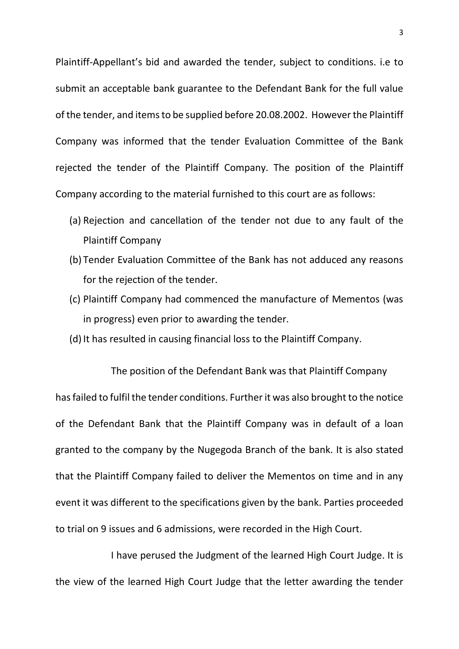Plaintiff-Appellant's bid and awarded the tender, subject to conditions. i.e to submit an acceptable bank guarantee to the Defendant Bank for the full value of the tender, and items to be supplied before 20.08.2002. However the Plaintiff Company was informed that the tender Evaluation Committee of the Bank rejected the tender of the Plaintiff Company. The position of the Plaintiff Company according to the material furnished to this court are as follows:

- (a) Rejection and cancellation of the tender not due to any fault of the Plaintiff Company
- (b) Tender Evaluation Committee of the Bank has not adduced any reasons for the rejection of the tender.
- (c) Plaintiff Company had commenced the manufacture of Mementos (was in progress) even prior to awarding the tender.
- (d) It has resulted in causing financial loss to the Plaintiff Company.

The position of the Defendant Bank was that Plaintiff Company has failed to fulfil the tender conditions. Further it was also brought to the notice of the Defendant Bank that the Plaintiff Company was in default of a loan granted to the company by the Nugegoda Branch of the bank. It is also stated that the Plaintiff Company failed to deliver the Mementos on time and in any event it was different to the specifications given by the bank. Parties proceeded to trial on 9 issues and 6 admissions, were recorded in the High Court.

I have perused the Judgment of the learned High Court Judge. It is the view of the learned High Court Judge that the letter awarding the tender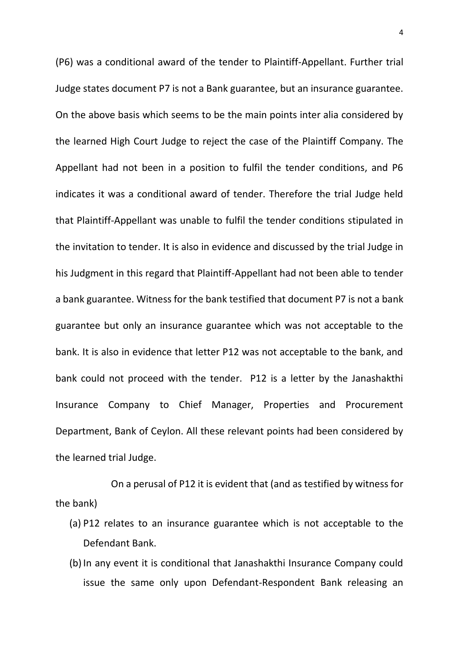(P6) was a conditional award of the tender to Plaintiff-Appellant. Further trial Judge states document P7 is not a Bank guarantee, but an insurance guarantee. On the above basis which seems to be the main points inter alia considered by the learned High Court Judge to reject the case of the Plaintiff Company. The Appellant had not been in a position to fulfil the tender conditions, and P6 indicates it was a conditional award of tender. Therefore the trial Judge held that Plaintiff-Appellant was unable to fulfil the tender conditions stipulated in the invitation to tender. It is also in evidence and discussed by the trial Judge in his Judgment in this regard that Plaintiff-Appellant had not been able to tender a bank guarantee. Witness for the bank testified that document P7 is not a bank guarantee but only an insurance guarantee which was not acceptable to the bank. It is also in evidence that letter P12 was not acceptable to the bank, and bank could not proceed with the tender. P12 is a letter by the Janashakthi Insurance Company to Chief Manager, Properties and Procurement Department, Bank of Ceylon. All these relevant points had been considered by the learned trial Judge.

On a perusal of P12 it is evident that (and as testified by witness for the bank)

- (a) P12 relates to an insurance guarantee which is not acceptable to the Defendant Bank.
- (b)In any event it is conditional that Janashakthi Insurance Company could issue the same only upon Defendant-Respondent Bank releasing an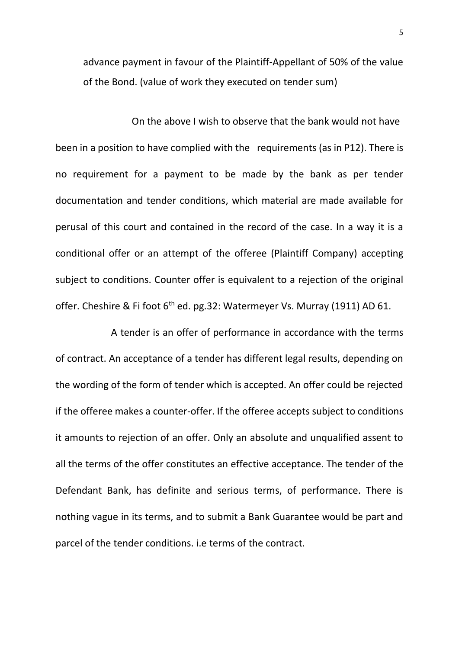advance payment in favour of the Plaintiff-Appellant of 50% of the value of the Bond. (value of work they executed on tender sum)

On the above I wish to observe that the bank would not have been in a position to have complied with the requirements (as in P12). There is no requirement for a payment to be made by the bank as per tender documentation and tender conditions, which material are made available for perusal of this court and contained in the record of the case. In a way it is a conditional offer or an attempt of the offeree (Plaintiff Company) accepting subject to conditions. Counter offer is equivalent to a rejection of the original offer. Cheshire & Fi foot  $6<sup>th</sup>$  ed. pg.32: Watermeyer Vs. Murray (1911) AD 61.

A tender is an offer of performance in accordance with the terms of contract. An acceptance of a tender has different legal results, depending on the wording of the form of tender which is accepted. An offer could be rejected if the offeree makes a counter-offer. If the offeree accepts subject to conditions it amounts to rejection of an offer. Only an absolute and unqualified assent to all the terms of the offer constitutes an effective acceptance. The tender of the Defendant Bank, has definite and serious terms, of performance. There is nothing vague in its terms, and to submit a Bank Guarantee would be part and parcel of the tender conditions. i.e terms of the contract.